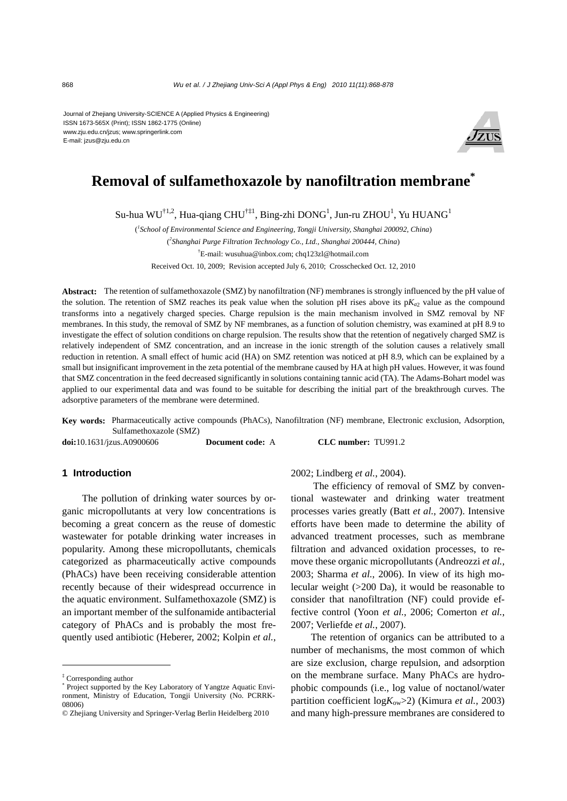Journal of Zhejiang University-SCIENCE A (Applied Physics & Engineering) ISSN 1673-565X (Print); ISSN 1862-1775 (Online) www.zju.edu.cn/jzus; www.springerlink.com E-mail: jzus@zju.edu.cn



# **Removal of sulfamethoxazole by nanofiltration membrane\***

Su-hua WU $^{\dagger1,2}$ , Hua-qiang CHU $^{\dagger\ddagger1}$ , Bing-zhi DONG<sup>1</sup>, Jun-ru ZHOU<sup>1</sup>, Yu HUANG<sup>1</sup>

( *1 School of Environmental Science and Engineering, Tongji University, Shanghai 200092, China*) ( *2 Shanghai Purge Filtration Technology Co., Ltd., Shanghai 200444, China*) † E-mail: wusuhua@inbox.com; chq123zl@hotmail.com Received Oct. 10, 2009; Revision accepted July 6, 2010; Crosschecked Oct. 12, 2010

**Abstract:** The retention of sulfamethoxazole (SMZ) by nanofiltration (NF) membranes is strongly influenced by the pH value of the solution. The retention of SMZ reaches its peak value when the solution pH rises above its  $pK_{a2}$  value as the compound transforms into a negatively charged species. Charge repulsion is the main mechanism involved in SMZ removal by NF membranes. In this study, the removal of SMZ by NF membranes, as a function of solution chemistry, was examined at pH 8.9 to investigate the effect of solution conditions on charge repulsion. The results show that the retention of negatively charged SMZ is relatively independent of SMZ concentration, and an increase in the ionic strength of the solution causes a relatively small reduction in retention. A small effect of humic acid (HA) on SMZ retention was noticed at pH 8.9, which can be explained by a small but insignificant improvement in the zeta potential of the membrane caused by HA at high pH values. However, it was found that SMZ concentration in the feed decreased significantly in solutions containing tannic acid (TA). The Adams-Bohart model was applied to our experimental data and was found to be suitable for describing the initial part of the breakthrough curves. The adsorptive parameters of the membrane were determined.

**Key words:** Pharmaceutically active compounds (PhACs), Nanofiltration (NF) membrane, Electronic exclusion, Adsorption, Sulfamethoxazole (SMZ)

**doi:**10.1631/jzus.A0900606 **Document code:** A **CLC number:** TU991.2

# **1 Introduction**

The pollution of drinking water sources by organic micropollutants at very low concentrations is becoming a great concern as the reuse of domestic wastewater for potable drinking water increases in popularity. Among these micropollutants, chemicals categorized as pharmaceutically active compounds (PhACs) have been receiving considerable attention recently because of their widespread occurrence in the aquatic environment. Sulfamethoxazole (SMZ) is an important member of the sulfonamide antibacterial category of PhACs and is probably the most frequently used antibiotic (Heberer, 2002; Kolpin *et al.*,

2002; Lindberg *et al.*, 2004).

 The efficiency of removal of SMZ by conventional wastewater and drinking water treatment processes varies greatly (Batt *et al.*, 2007). Intensive efforts have been made to determine the ability of advanced treatment processes, such as membrane filtration and advanced oxidation processes, to remove these organic micropollutants (Andreozzi *et al.*, 2003; Sharma *et al.*, 2006). In view of its high molecular weight (>200 Da), it would be reasonable to consider that nanofiltration (NF) could provide effective control (Yoon *et al.*, 2006; Comerton *et al.*, 2007; Verliefde *et al.*, 2007).

The retention of organics can be attributed to a number of mechanisms, the most common of which are size exclusion, charge repulsion, and adsorption on the membrane surface. Many PhACs are hydrophobic compounds (i.e., log value of noctanol/water partition coefficient log*K*ow>2) (Kimura *et al.*, 2003) and many high-pressure membranes are considered to

<sup>‡</sup> Corresponding author

<sup>\*</sup> Project supported by the Key Laboratory of Yangtze Aquatic Environment, Ministry of Education, Tongji University (No. PCRRK-08006)

<sup>©</sup> Zhejiang University and Springer-Verlag Berlin Heidelberg 2010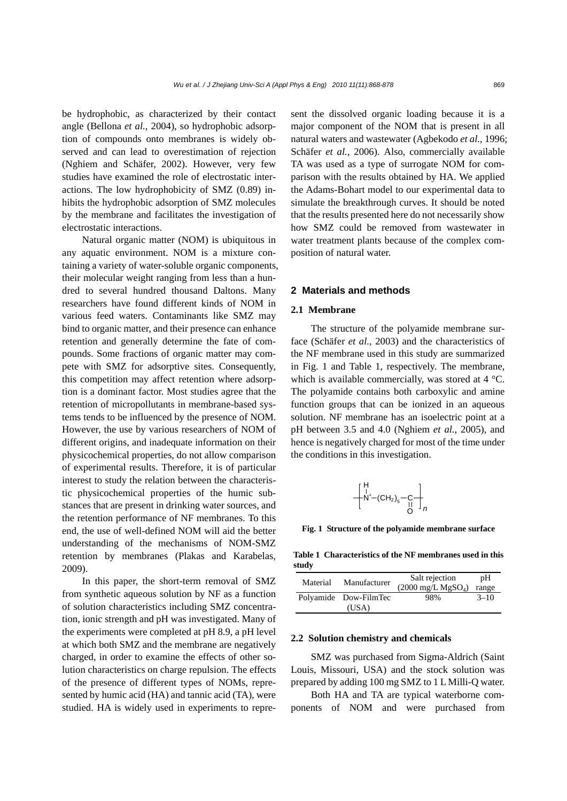be hydrophobic, as characterized by their contact angle (Bellona *et al.*, 2004), so hydrophobic adsorption of compounds onto membranes is widely observed and can lead to overestimation of rejection (Nghiem and Schäfer, 2002). However, very few studies have examined the role of electrostatic interactions. The low hydrophobicity of SMZ (0.89) inhibits the hydrophobic adsorption of SMZ molecules by the membrane and facilitates the investigation of electrostatic interactions.

Natural organic matter (NOM) is ubiquitous in any aquatic environment. NOM is a mixture containing a variety of water-soluble organic components, their molecular weight ranging from less than a hundred to several hundred thousand Daltons. Many researchers have found different kinds of NOM in various feed waters. Contaminants like SMZ may bind to organic matter, and their presence can enhance retention and generally determine the fate of compounds. Some fractions of organic matter may compete with SMZ for adsorptive sites. Consequently, this competition may affect retention where adsorption is a dominant factor. Most studies agree that the retention of micropollutants in membrane-based systems tends to be influenced by the presence of NOM. However, the use by various researchers of NOM of different origins, and inadequate information on their physicochemical properties, do not allow comparison of experimental results. Therefore, it is of particular interest to study the relation between the characteristic physicochemical properties of the humic substances that are present in drinking water sources, and the retention performance of NF membranes. To this end, the use of well-defined NOM will aid the better understanding of the mechanisms of NOM-SMZ retention by membranes (Plakas and Karabelas, 2009).

In this paper, the short-term removal of SMZ from synthetic aqueous solution by NF as a function of solution characteristics including SMZ concentration, ionic strength and pH was investigated. Many of the experiments were completed at pH 8.9, a pH level at which both SMZ and the membrane are negatively charged, in order to examine the effects of other solution characteristics on charge repulsion. The effects of the presence of different types of NOMs, represented by humic acid (HA) and tannic acid (TA), were studied. HA is widely used in experiments to represent the dissolved organic loading because it is a major component of the NOM that is present in all natural waters and wastewater (Agbekodo *et al.*, 1996; Schäfer *et al.*, 2006). Also, commercially available TA was used as a type of surrogate NOM for comparison with the results obtained by HA. We applied the Adams-Bohart model to our experimental data to simulate the breakthrough curves. It should be noted that the results presented here do not necessarily show how SMZ could be removed from wastewater in water treatment plants because of the complex composition of natural water.

## **2 Materials and methods**

## **2.1 Membrane**

The structure of the polyamide membrane surface (Schäfer *et al.*, 2003) and the characteristics of the NF membrane used in this study are summarized in Fig. 1 and Table 1, respectively. The membrane, which is available commercially, was stored at 4 °C. The polyamide contains both carboxylic and amine function groups that can be ionized in an aqueous solution. NF membrane has an isoelectric point at a pH between 3.5 and 4.0 (Nghiem *et al.*, 2005), and hence is negatively charged for most of the time under the conditions in this investigation.



**Fig. 1 Structure of the polyamide membrane surface**

**Table 1 Characteristics of the NF membranes used in this study** 

| Material | Manufacturer          | Salt rejection<br>$(2000 \text{ mg/L MgSO}_4)$ | pH<br>range |
|----------|-----------------------|------------------------------------------------|-------------|
|          | Polyamide Dow-FilmTec | 98%                                            | $3 - 10$    |
|          | (USA)                 |                                                |             |

#### **2.2 Solution chemistry and chemicals**

SMZ was purchased from Sigma-Aldrich (Saint Louis, Missouri, USA) and the stock solution was prepared by adding 100 mg SMZ to 1 L Milli-Q water.

Both HA and TA are typical waterborne components of NOM and were purchased from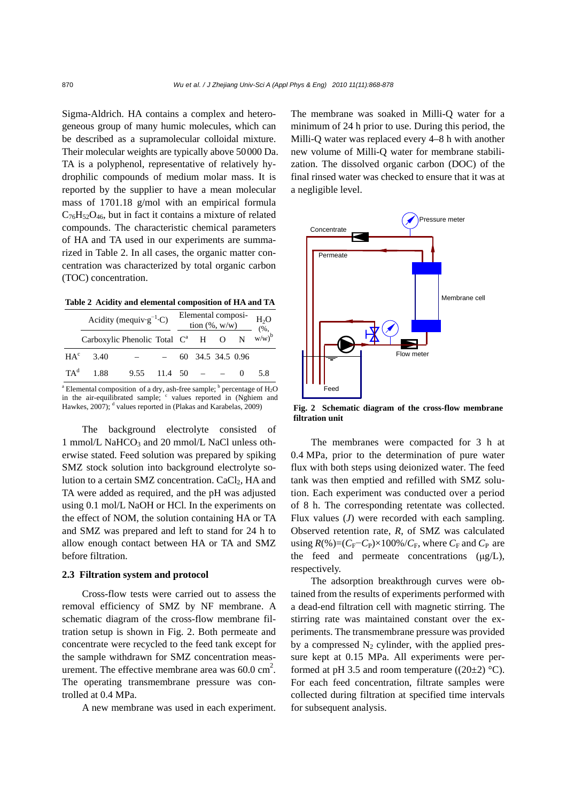Sigma-Aldrich. HA contains a complex and heterogeneous group of many humic molecules, which can be described as a supramolecular colloidal mixture. Their molecular weights are typically above 50000 Da. TA is a polyphenol, representative of relatively hydrophilic compounds of medium molar mass. It is reported by the supplier to have a mean molecular mass of 1701.18 g/mol with an empirical formula  $C_{76}H_{52}O_{46}$ , but in fact it contains a mixture of related compounds. The characteristic chemical parameters of HA and TA used in our experiments are summarized in Table 2. In all cases, the organic matter concentration was characterized by total organic carbon (TOC) concentration.

**Table 2 Acidity and elemental composition of HA and TA**

|                 | Acidity (mequiv $\cdot$ g <sup>-1</sup> $\cdot$ C) |      | Elemental composi-<br>tion $(\% , w/w)$ H <sub>2</sub> O |  |                   | (% , ) |  |                    |
|-----------------|----------------------------------------------------|------|----------------------------------------------------------|--|-------------------|--------|--|--------------------|
|                 | Carboxylic Phenolic Total C <sup>a</sup> H O N     |      |                                                          |  |                   |        |  | $W/W$ <sup>b</sup> |
| HA <sup>c</sup> | 3.40                                               |      |                                                          |  | 60 34.5 34.5 0.96 |        |  |                    |
| $TA^d$          | 1.88                                               | 9.55 | $11.4 \quad 50 = -$                                      |  |                   |        |  | 5.8                |

<sup>a</sup> Elemental composition of a dry, ash-free sample;  $<sup>b</sup>$  percentage of H<sub>2</sub>O</sup> in the air-equilibrated sample; c values reported in (Nghiem and Hawkes, 2007); <sup>d</sup> values reported in (Plakas and Karabelas, 2009)

The background electrolyte consisted of 1 mmol/L NaHCO<sub>3</sub> and 20 mmol/L NaCl unless otherwise stated. Feed solution was prepared by spiking SMZ stock solution into background electrolyte solution to a certain SMZ concentration. CaCl<sub>2</sub>, HA and TA were added as required, and the pH was adjusted using 0.1 mol/L NaOH or HCl. In the experiments on the effect of NOM, the solution containing HA or TA and SMZ was prepared and left to stand for 24 h to allow enough contact between HA or TA and SMZ before filtration.

#### **2.3 Filtration system and protocol**

Cross-flow tests were carried out to assess the removal efficiency of SMZ by NF membrane. A schematic diagram of the cross-flow membrane filtration setup is shown in Fig. 2. Both permeate and concentrate were recycled to the feed tank except for the sample withdrawn for SMZ concentration measurement. The effective membrane area was  $60.0 \text{ cm}^2$ . The operating transmembrane pressure was controlled at 0.4 MPa.

A new membrane was used in each experiment.

The membrane was soaked in Milli-Q water for a minimum of 24 h prior to use. During this period, the Milli-Q water was replaced every 4–8 h with another new volume of Milli-Q water for membrane stabilization. The dissolved organic carbon (DOC) of the final rinsed water was checked to ensure that it was at a negligible level.



Fig. 2 Schematic diagram of the cross-flow membrane **filtration unit**

The membranes were compacted for 3 h at 0.4 MPa, prior to the determination of pure water flux with both steps using deionized water. The feed tank was then emptied and refilled with SMZ solution. Each experiment was conducted over a period of 8 h. The corresponding retentate was collected. Flux values (*J*) were recorded with each sampling. Observed retention rate, *R*, of SMZ was calculated using  $R$ (%)=( $C_F$ − $C_P$ )×100%/ $C_F$ , where  $C_F$  and  $C_P$  are the feed and permeate concentrations  $(\mu g/L)$ , respectively.

The adsorption breakthrough curves were obtained from the results of experiments performed with a dead-end filtration cell with magnetic stirring. The stirring rate was maintained constant over the experiments. The transmembrane pressure was provided by a compressed  $N_2$  cylinder, with the applied pressure kept at 0.15 MPa. All experiments were performed at pH 3.5 and room temperature ((20 $\pm$ 2) °C). For each feed concentration, filtrate samples were collected during filtration at specified time intervals for subsequent analysis.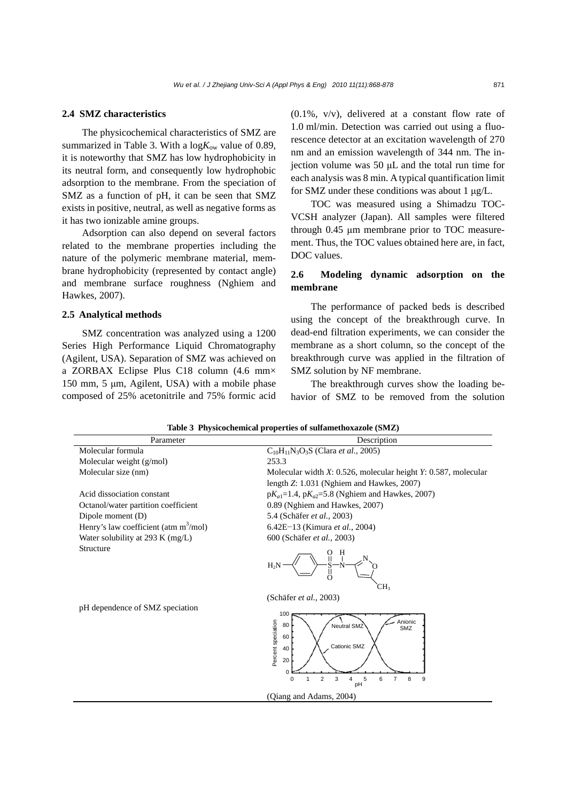#### **2.4 SMZ characteristics**

The physicochemical characteristics of SMZ are summarized in Table 3. With a  $logK_{ow}$  value of 0.89, it is noteworthy that SMZ has low hydrophobicity in its neutral form, and consequently low hydrophobic adsorption to the membrane. From the speciation of SMZ as a function of pH, it can be seen that SMZ exists in positive, neutral, as well as negative forms as it has two ionizable amine groups.

Adsorption can also depend on several factors related to the membrane properties including the nature of the polymeric membrane material, membrane hydrophobicity (represented by contact angle) and membrane surface roughness (Nghiem and Hawkes, 2007).

#### **2.5 Analytical methods**

SMZ concentration was analyzed using a 1200 Series High Performance Liquid Chromatography (Agilent, USA). Separation of SMZ was achieved on a ZORBAX Eclipse Plus C18 column (4.6 mm× 150 mm, 5 μm, Agilent, USA) with a mobile phase composed of 25% acetonitrile and 75% formic acid (0.1%, v/v), delivered at a constant flow rate of 1.0 ml/min. Detection was carried out using a fluorescence detector at an excitation wavelength of 270 nm and an emission wavelength of 344 nm. The injection volume was 50 μL and the total run time for each analysis was 8 min. A typical quantification limit for SMZ under these conditions was about 1 μg/L.

TOC was measured using a Shimadzu TOC-VCSH analyzer (Japan). All samples were filtered through 0.45 μm membrane prior to TOC measurement. Thus, the TOC values obtained here are, in fact, DOC values.

# **2.6 Modeling dynamic adsorption on the membrane**

The performance of packed beds is described using the concept of the breakthrough curve. In dead-end filtration experiments, we can consider the membrane as a short column, so the concept of the breakthrough curve was applied in the filtration of SMZ solution by NF membrane.

The breakthrough curves show the loading behavior of SMZ to be removed from the solution

|  |  |  | Table 3 Physicochemical properties of sulfamethoxazole (SMZ) |  |
|--|--|--|--------------------------------------------------------------|--|
|--|--|--|--------------------------------------------------------------|--|

| <b>Table 3 Physicochemical properties of suitamethoxazole (SMZ)</b> |                                                                                                                                                                                                         |  |  |  |
|---------------------------------------------------------------------|---------------------------------------------------------------------------------------------------------------------------------------------------------------------------------------------------------|--|--|--|
| Parameter                                                           | Description                                                                                                                                                                                             |  |  |  |
| Molecular formula                                                   | $C_{10}H_{11}N_3O_3S$ (Clara <i>et al.</i> , 2005)                                                                                                                                                      |  |  |  |
| Molecular weight $(g/mol)$                                          | 253.3                                                                                                                                                                                                   |  |  |  |
| Molecular size (nm)                                                 | Molecular width $X: 0.526$ , molecular height $Y: 0.587$ , molecular                                                                                                                                    |  |  |  |
|                                                                     | length Z: 1.031 (Nghiem and Hawkes, 2007)                                                                                                                                                               |  |  |  |
| Acid dissociation constant                                          | $pK_{a1} = 1.4$ , $pK_{a2} = 5.8$ (Nghiem and Hawkes, 2007)                                                                                                                                             |  |  |  |
| Octanol/water partition coefficient                                 | 0.89 (Nghiem and Hawkes, 2007)                                                                                                                                                                          |  |  |  |
| Dipole moment (D)                                                   | 5.4 (Schäfer et al., 2003)                                                                                                                                                                              |  |  |  |
| Henry's law coefficient (atm $m^3$ /mol)                            | 6.42E-13 (Kimura et al., 2004)                                                                                                                                                                          |  |  |  |
| Water solubility at 293 K (mg/L)                                    | 600 (Schäfer et al., 2003)                                                                                                                                                                              |  |  |  |
| Structure                                                           | $H_2N$<br>CH <sub>3</sub>                                                                                                                                                                               |  |  |  |
|                                                                     | (Schäfer et al., 2003)                                                                                                                                                                                  |  |  |  |
| pH dependence of SMZ speciation                                     | 100<br>Percent speciation<br>Anionic<br>80<br>Neutral SMZ<br><b>SMZ</b><br>60<br>Cationic SMZ<br>40<br>20<br>0<br>$\overline{2}$<br>5<br>6<br>8<br>$\Omega$<br>3<br>$\overline{7}$<br>9<br>1<br>4<br>pH |  |  |  |
| (Qiang and Adams, 2004)                                             |                                                                                                                                                                                                         |  |  |  |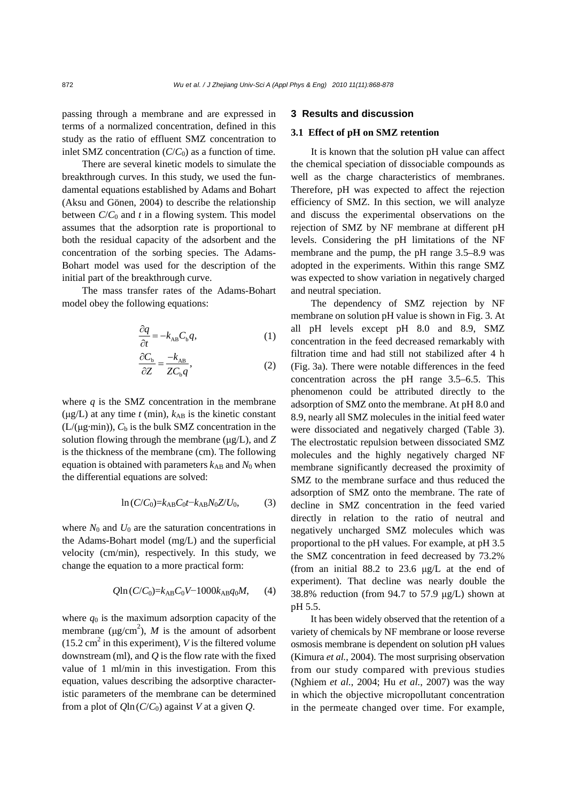passing through a membrane and are expressed in terms of a normalized concentration, defined in this study as the ratio of effluent SMZ concentration to inlet SMZ concentration  $(C/C_0)$  as a function of time.

There are several kinetic models to simulate the breakthrough curves. In this study, we used the fundamental equations established by Adams and Bohart (Aksu and Gönen, 2004) to describe the relationship between  $C/C_0$  and  $t$  in a flowing system. This model assumes that the adsorption rate is proportional to both the residual capacity of the adsorbent and the concentration of the sorbing species. The Adams-Bohart model was used for the description of the initial part of the breakthrough curve.

The mass transfer rates of the Adams-Bohart model obey the following equations:

$$
\frac{\partial q}{\partial t} = -k_{AB} C_{b} q, \qquad (1)
$$

$$
\frac{\partial C_{\rm b}}{\partial Z} = \frac{-k_{\rm AB}}{Z C_{\rm b} q},\tag{2}
$$

where  $q$  is the SMZ concentration in the membrane  $(\mu g/L)$  at any time *t* (min),  $k_{AB}$  is the kinetic constant  $(L/(µg·min))$ ,  $C_b$  is the bulk SMZ concentration in the solution flowing through the membrane (μg/L), and *Z* is the thickness of the membrane (cm). The following equation is obtained with parameters  $k_{AB}$  and  $N_0$  when the differential equations are solved:

$$
\ln(C/C_0)=k_{AB}C_0t-k_{AB}N_0Z/U_0,\qquad(3)
$$

where  $N_0$  and  $U_0$  are the saturation concentrations in the Adams-Bohart model (mg/L) and the superficial velocity (cm/min), respectively. In this study, we change the equation to a more practical form:

$$
Q\ln(C/C_0)=k_{AB}C_0V-1000k_{AB}q_0M,
$$
 (4)

where  $q_0$  is the maximum adsorption capacity of the membrane ( $\mu$ g/cm<sup>2</sup>), *M* is the amount of adsorbent  $(15.2 \text{ cm}^2 \text{ in this experiment}),$  *V* is the filtered volume downstream (ml), and *Q* is the flow rate with the fixed value of 1 ml/min in this investigation. From this equation, values describing the adsorptive characteristic parameters of the membrane can be determined from a plot of  $Q\text{ln}(C/C_0)$  against *V* at a given  $Q$ .

#### **3 Results and discussion**

#### **3.1 Effect of pH on SMZ retention**

It is known that the solution pH value can affect the chemical speciation of dissociable compounds as well as the charge characteristics of membranes. Therefore, pH was expected to affect the rejection efficiency of SMZ. In this section, we will analyze and discuss the experimental observations on the rejection of SMZ by NF membrane at different pH levels. Considering the pH limitations of the NF membrane and the pump, the pH range 3.5–8.9 was adopted in the experiments. Within this range SMZ was expected to show variation in negatively charged and neutral speciation.

The dependency of SMZ rejection by NF membrane on solution pH value is shown in Fig. 3. At all pH levels except pH 8.0 and 8.9, SMZ concentration in the feed decreased remarkably with filtration time and had still not stabilized after 4 h (Fig. 3a). There were notable differences in the feed concentration across the pH range 3.5–6.5. This phenomenon could be attributed directly to the adsorption of SMZ onto the membrane. At pH 8.0 and 8.9, nearly all SMZ molecules in the initial feed water were dissociated and negatively charged (Table 3). The electrostatic repulsion between dissociated SMZ molecules and the highly negatively charged NF membrane significantly decreased the proximity of SMZ to the membrane surface and thus reduced the adsorption of SMZ onto the membrane. The rate of decline in SMZ concentration in the feed varied directly in relation to the ratio of neutral and negatively uncharged SMZ molecules which was proportional to the pH values. For example, at pH 3.5 the SMZ concentration in feed decreased by 73.2% (from an initial 88.2 to 23.6 μg/L at the end of experiment). That decline was nearly double the 38.8% reduction (from 94.7 to 57.9  $\mu$ g/L) shown at pH 5.5.

It has been widely observed that the retention of a variety of chemicals by NF membrane or loose reverse osmosis membrane is dependent on solution pH values (Kimura *et al.*, 2004). The most surprising observation from our study compared with previous studies (Nghiem *et al.*, 2004; Hu *et al.*, 2007) was the way in which the objective micropollutant concentration in the permeate changed over time. For example,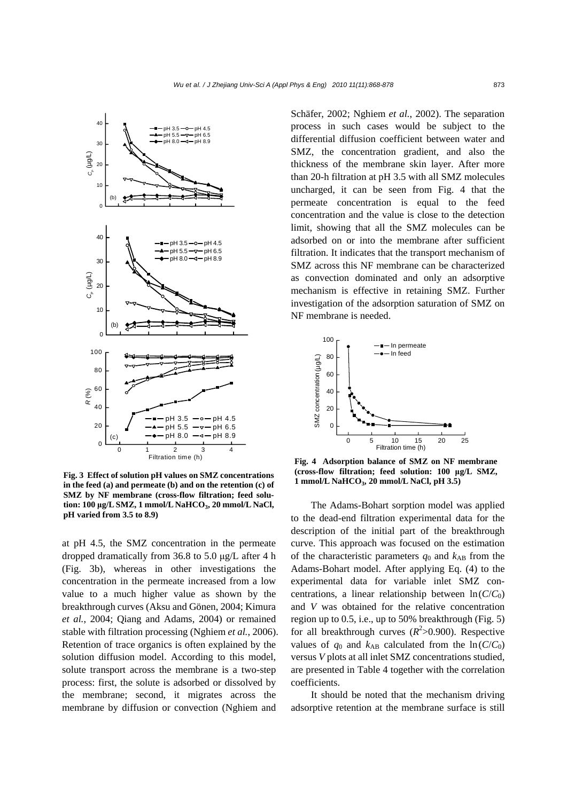

Fig. 3 Effect of solution pH values on SMZ concentrations (cross-flow filtration; feed solution: 100 µg<br>in the feed (a) and nermeate (b) and on the retention (c) of 1 mmol/L NaHCO<sub>3</sub>, 20 mmol/L NaCl, pH 3.5) **in the feed (a) and permeate (b) and on the retention (c) of SMZ by NF membrane (cross-flow filtration; feed solution: 100 μg/L SMZ, 1 mmol/L NaHCO<sub>3</sub>, 20 mmol/L NaCl, pH varied from 3.5 to 8.9)**

at pH 4.5, the SMZ concentration in the permeate dropped dramatically from 36.8 to 5.0 μg/L after 4 h (Fig. 3b), whereas in other investigations the concentration in the permeate increased from a low value to a much higher value as shown by the breakthrough curves (Aksu and Gönen, 2004; Kimura *et al.*, 2004; Qiang and Adams, 2004) or remained stable with filtration processing (Nghiem *et al.*, 2006). Retention of trace organics is often explained by the solution diffusion model. According to this model, solute transport across the membrane is a two-step process: first, the solute is adsorbed or dissolved by the membrane; second, it migrates across the membrane by diffusion or convection (Nghiem and

Schäfer, 2002; Nghiem *et al.*, 2002). The separation process in such cases would be subject to the differential diffusion coefficient between water and SMZ, the concentration gradient, and also the thickness of the membrane skin layer. After more than 20-h filtration at pH 3.5 with all SMZ molecules uncharged, it can be seen from Fig. 4 that the permeate concentration is equal to the feed concentration and the value is close to the detection limit, showing that all the SMZ molecules can be adsorbed on or into the membrane after sufficient filtration. It indicates that the transport mechanism of SMZ across this NF membrane can be characterized as convection dominated and only an adsorptive mechanism is effective in retaining SMZ. Further investigation of the adsorption saturation of SMZ on NF membrane is needed.



**Fig. 4 Adsorption balance of SMZ on NF membrane (cross-flow filtration; feed solution: 100 μg/L SMZ,** 

The Adams-Bohart sorption model was applied to the dead-end filtration experimental data for the description of the initial part of the breakthrough curve. This approach was focused on the estimation of the characteristic parameters  $q_0$  and  $k_{AB}$  from the Adams-Bohart model. After applying Eq. (4) to the experimental data for variable inlet SMZ concentrations, a linear relationship between  $ln(C/C_0)$ and *V* was obtained for the relative concentration region up to 0.5, i.e., up to 50% breakthrough (Fig. 5) for all breakthrough curves  $(R^2>0.900)$ . Respective values of  $q_0$  and  $k_{AB}$  calculated from the  $ln(C/C_0)$ versus *V* plots at all inlet SMZ concentrations studied, are presented in Table 4 together with the correlation coefficients.

It should be noted that the mechanism driving adsorptive retention at the membrane surface is still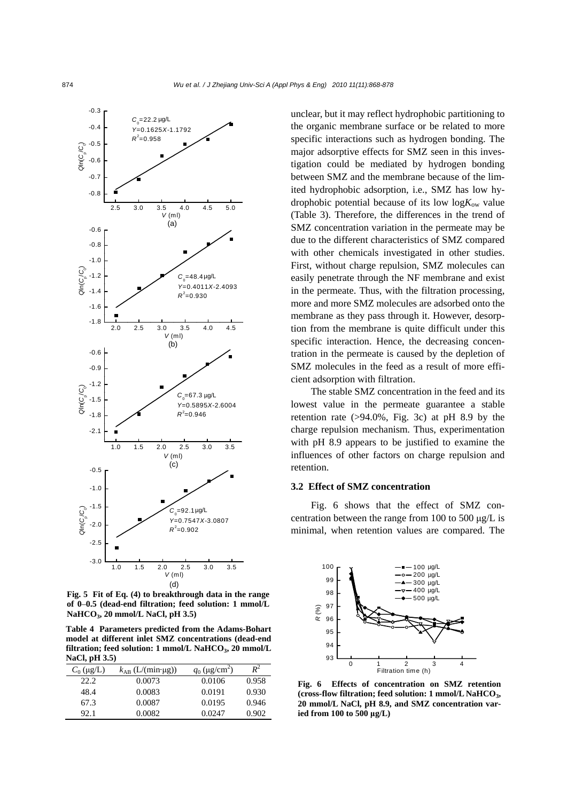

Fig. 5 Fit of Eq. (4) to breakthrough data in the range **of 0**–**0.5 (dead-end filtration; feed solution: 1 mmol/L NaHCO3, 20 mmol/L NaCl, pH 3.5)**

**Table 4 Parameters predicted from the Adams-Bohart model at different inlet SMZ concentrations (dead-end**  filtration; feed solution: 1 mmol/L NaHCO<sub>3</sub>, 20 mmol/L **NaCl, pH 3.5)** 

| $C_0$ (µg/L) | $k_{AB}$ (L/(min·µg)) | $q_0$ (µg/cm <sup>2</sup> ) | $R^2$ |
|--------------|-----------------------|-----------------------------|-------|
| 22.2         | 0.0073                | 0.0106                      | 0.958 |
| 48.4         | 0.0083                | 0.0191                      | 0.930 |
| 67.3         | 0.0087                | 0.0195                      | 0.946 |
| 92.1         | 0.0082                | 0.0247                      | 0.902 |

unclear, but it may reflect hydrophobic partitioning to the organic membrane surface or be related to more specific interactions such as hydrogen bonding. The major adsorptive effects for SMZ seen in this investigation could be mediated by hydrogen bonding between SMZ and the membrane because of the limited hydrophobic adsorption, i.e., SMZ has low hydrophobic potential because of its low  $log K_{ow}$  value (Table 3). Therefore, the differences in the trend of SMZ concentration variation in the permeate may be due to the different characteristics of SMZ compared with other chemicals investigated in other studies. First, without charge repulsion, SMZ molecules can easily penetrate through the NF membrane and exist in the permeate. Thus, with the filtration processing, more and more SMZ molecules are adsorbed onto the membrane as they pass through it. However, desorption from the membrane is quite difficult under this specific interaction. Hence, the decreasing concentration in the permeate is caused by the depletion of SMZ molecules in the feed as a result of more efficient adsorption with filtration.

The stable SMZ concentration in the feed and its lowest value in the permeate guarantee a stable retention rate  $(>94.0\%$ , Fig. 3c) at pH 8.9 by the charge repulsion mechanism. Thus, experimentation with pH 8.9 appears to be justified to examine the influences of other factors on charge repulsion and retention.

## **3.2 Effect of SMZ concentration**

Fig. 6 shows that the effect of SMZ concentration between the range from 100 to 500 μg/L is minimal, when retention values are compared. The



**Fig. 6 Effects of concentration on SMZ retention (cross-flow filtration; feed solution: 1 mmol/L NaHCO3, 20 mmol/L NaCl, pH 8.9, and SMZ concentration varied from 100 to 500 μg/L)**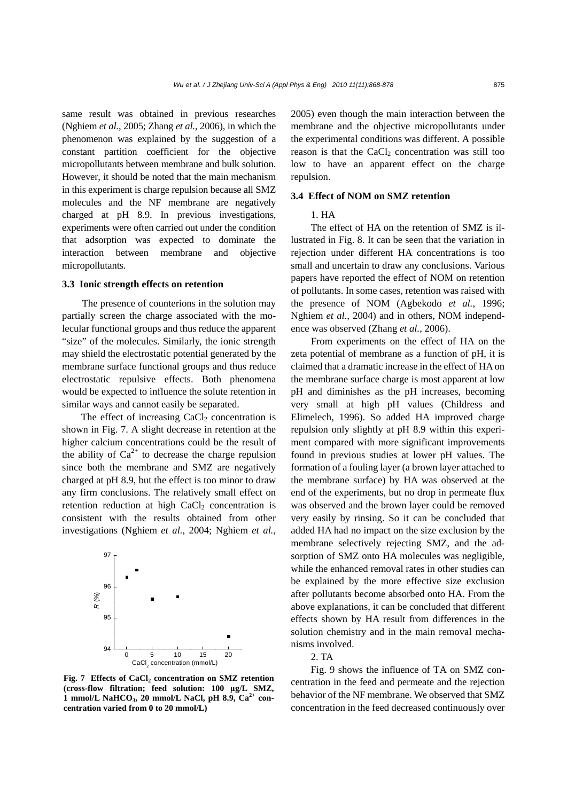same result was obtained in previous researches (Nghiem *et al.*, 2005; Zhang *et al.*, 2006), in which the phenomenon was explained by the suggestion of a constant partition coefficient for the objective micropollutants between membrane and bulk solution. However, it should be noted that the main mechanism in this experiment is charge repulsion because all SMZ molecules and the NF membrane are negatively charged at pH 8.9. In previous investigations, experiments were often carried out under the condition that adsorption was expected to dominate the interaction between membrane and objective micropollutants.

#### **3.3 Ionic strength effects on retention**

The presence of counterions in the solution may partially screen the charge associated with the molecular functional groups and thus reduce the apparent "size" of the molecules. Similarly, the ionic strength may shield the electrostatic potential generated by the membrane surface functional groups and thus reduce electrostatic repulsive effects. Both phenomena would be expected to influence the solute retention in similar ways and cannot easily be separated.

The effect of increasing  $CaCl<sub>2</sub>$  concentration is shown in Fig. 7. A slight decrease in retention at the higher calcium concentrations could be the result of the ability of  $Ca^{2+}$  to decrease the charge repulsion since both the membrane and SMZ are negatively charged at pH 8.9, but the effect is too minor to draw any firm conclusions. The relatively small effect on retention reduction at high  $CaCl<sub>2</sub>$  concentration is consistent with the results obtained from other investigations (Nghiem *et al.*, 2004; Nghiem *et al.*,



Fig. 7 Effects of CaCl<sub>2</sub> concentration on SMZ retention **(cross-flow filtration; feed solution: 100 μg/L SMZ, 1 mmol/L NaHCO3, 20 mmol/L NaCl, pH 8.9, Ca2+ concentration varied from 0 to 20 mmol/L)** 

2005) even though the main interaction between the membrane and the objective micropollutants under the experimental conditions was different. A possible reason is that the  $CaCl<sub>2</sub>$  concentration was still too low to have an apparent effect on the charge repulsion.

# **3.4 Effect of NOM on SMZ retention**

## 1. HA

The effect of HA on the retention of SMZ is illustrated in Fig. 8. It can be seen that the variation in rejection under different HA concentrations is too small and uncertain to draw any conclusions. Various papers have reported the effect of NOM on retention of pollutants. In some cases, retention was raised with the presence of NOM (Agbekodo *et al.*, 1996; Nghiem *et al.*, 2004) and in others, NOM independence was observed (Zhang *et al.*, 2006).

From experiments on the effect of HA on the zeta potential of membrane as a function of pH, it is claimed that a dramatic increase in the effect of HA on the membrane surface charge is most apparent at low pH and diminishes as the pH increases, becoming very small at high pH values (Childress and Elimelech, 1996). So added HA improved charge repulsion only slightly at pH 8.9 within this experiment compared with more significant improvements found in previous studies at lower pH values. The formation of a fouling layer (a brown layer attached to the membrane surface) by HA was observed at the end of the experiments, but no drop in permeate flux was observed and the brown layer could be removed very easily by rinsing. So it can be concluded that added HA had no impact on the size exclusion by the membrane selectively rejecting SMZ, and the adsorption of SMZ onto HA molecules was negligible, while the enhanced removal rates in other studies can be explained by the more effective size exclusion after pollutants become absorbed onto HA. From the above explanations, it can be concluded that different effects shown by HA result from differences in the solution chemistry and in the main removal mechanisms involved.

#### 2. TA

Fig. 9 shows the influence of TA on SMZ concentration in the feed and permeate and the rejection behavior of the NF membrane. We observed that SMZ concentration in the feed decreased continuously over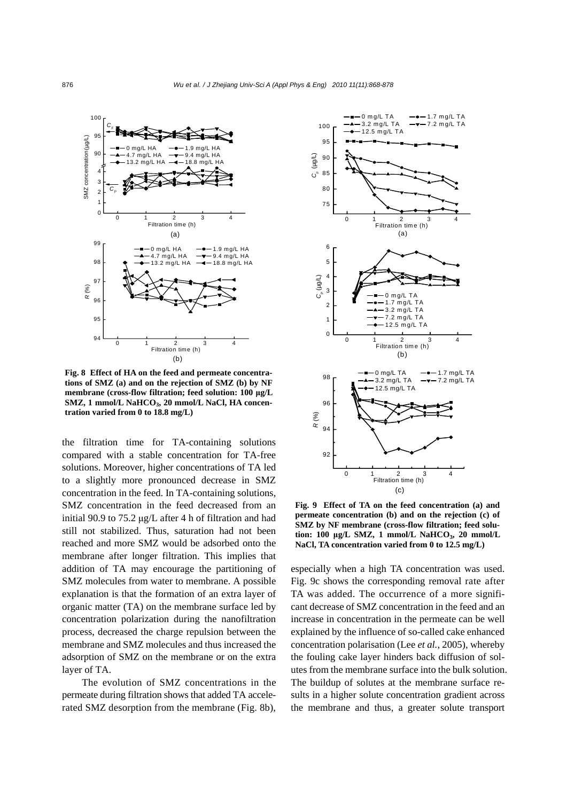

**Fig. 8 Effect of HA on the feed and permeate concentrations of SMZ (a) and on the rejection of SMZ (b) by NF membrane (cross-flow filtration; feed solution: 100 μg/L** SMZ, 1 mmol/L NaHCO<sub>3</sub>, 20 mmol/L NaCl, HA concen-

the filtration time for TA-containing solutions compared with a stable concentration for TA-free solutions. Moreover, higher concentrations of TA led to a slightly more pronounced decrease in SMZ concentration in the feed. In TA-containing solutions, SMZ concentration in the feed decreased from an initial 90.9 to 75.2 μg/L after 4 h of filtration and had still not stabilized. Thus, saturation had not been reached and more SMZ would be adsorbed onto the membrane after longer filtration. This implies that addition of TA may encourage the partitioning of SMZ molecules from water to membrane. A possible explanation is that the formation of an extra layer of organic matter (TA) on the membrane surface led by concentration polarization during the nanofiltration process, decreased the charge repulsion between the membrane and SMZ molecules and thus increased the adsorption of SMZ on the membrane or on the extra layer of TA.

The evolution of SMZ concentrations in the permeate during filtration shows that added TA accelerated SMZ desorption from the membrane (Fig. 8b),



**Fig. 9 Effect of TA on the feed concentration (a) and permeate concentration (b) and on the rejection (c) of SMZ by NF membrane (cross-flow filtration; feed solution: 100 μg/L SMZ, 1 mmol/L NaHCO<sub>3</sub>, 20 mmol/L NaCl, TA concentration varied from 0 to 12.5 mg/L)** 

especially when a high TA concentration was used. Fig. 9c shows the corresponding removal rate after TA was added. The occurrence of a more significant decrease of SMZ concentration in the feed and an increase in concentration in the permeate can be well explained by the influence of so-called cake enhanced concentration polarisation (Lee *et al.*, 2005), whereby the fouling cake layer hinders back diffusion of solutes from the membrane surface into the bulk solution. The buildup of solutes at the membrane surface results in a higher solute concentration gradient across the membrane and thus, a greater solute transport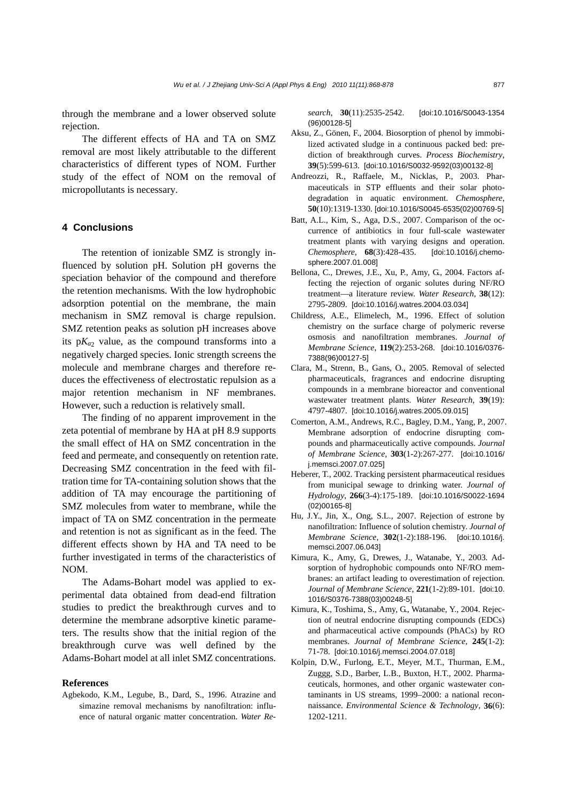through the membrane and a lower observed solute rejection.

The different effects of HA and TA on SMZ removal are most likely attributable to the different characteristics of different types of NOM. Further study of the effect of NOM on the removal of micropollutants is necessary.

## **4 Conclusions**

The retention of ionizable SMZ is strongly influenced by solution pH. Solution pH governs the speciation behavior of the compound and therefore the retention mechanisms. With the low hydrophobic adsorption potential on the membrane, the main mechanism in SMZ removal is charge repulsion. SMZ retention peaks as solution pH increases above its  $pK_{a2}$  value, as the compound transforms into a negatively charged species. Ionic strength screens the molecule and membrane charges and therefore reduces the effectiveness of electrostatic repulsion as a major retention mechanism in NF membranes. However, such a reduction is relatively small.

The finding of no apparent improvement in the zeta potential of membrane by HA at pH 8.9 supports the small effect of HA on SMZ concentration in the feed and permeate, and consequently on retention rate. Decreasing SMZ concentration in the feed with filtration time for TA-containing solution shows that the addition of TA may encourage the partitioning of SMZ molecules from water to membrane, while the impact of TA on SMZ concentration in the permeate and retention is not as significant as in the feed. The different effects shown by HA and TA need to be further investigated in terms of the characteristics of NOM.

The Adams-Bohart model was applied to experimental data obtained from dead-end filtration studies to predict the breakthrough curves and to determine the membrane adsorptive kinetic parameters. The results show that the initial region of the breakthrough curve was well defined by the Adams-Bohart model at all inlet SMZ concentrations.

#### **References**

Agbekodo, K.M., Legube, B., Dard, S., 1996. Atrazine and simazine removal mechanisms by nanofiltration: influence of natural organic matter concentration. *Water Re-* *search*, **30**(11):2535-2542. [doi:10.1016/S0043-1354 (96)00128-5]

- Aksu, Z., Gönen, F., 2004. Biosorption of phenol by immobilized activated sludge in a continuous packed bed: prediction of breakthrough curves. *Process Biochemistry*, **39**(5):599-613. [doi:10.1016/S0032-9592(03)00132-8]
- Andreozzi, R., Raffaele, M., Nicklas, P., 2003. Pharmaceuticals in STP effluents and their solar photodegradation in aquatic environment. *Chemosphere*, **50**(10):1319-1330. [doi:10.1016/S0045-6535(02)00769-5]
- Batt, A.L., Kim, S., Aga, D.S., 2007. Comparison of the occurrence of antibiotics in four full-scale wastewater treatment plants with varying designs and operation. *Chemosphere*, **68**(3):428-435. [doi:10.1016/j.chemosphere.2007.01.008]
- Bellona, C., Drewes, J.E., Xu, P., Amy, G., 2004. Factors affecting the rejection of organic solutes during NF/RO treatment—a literature review. *Water Research*, **38**(12): 2795-2809. [doi:10.1016/j.watres.2004.03.034]
- Childress, A.E., Elimelech, M., 1996. Effect of solution chemistry on the surface charge of polymeric reverse osmosis and nanofiltration membranes. *Journal of Membrane Science*, **119**(2):253-268. [doi:10.1016/0376- 7388(96)00127-5]
- Clara, M., Strenn, B., Gans, O., 2005. Removal of selected pharmaceuticals, fragrances and endocrine disrupting compounds in a membrane bioreactor and conventional wastewater treatment plants. *Water Research*, **39**(19): 4797-4807. [doi:10.1016/j.watres.2005.09.015]
- Comerton, A.M., Andrews, R.C., Bagley, D.M., Yang, P., 2007. Membrane adsorption of endocrine disrupting compounds and pharmaceutically active compounds. *Journal of Membrane Science*, **303**(1-2):267-277. [doi:10.1016/ j.memsci.2007.07.025]
- Heberer, T., 2002. Tracking persistent pharmaceutical residues from municipal sewage to drinking water. *Journal of Hydrology*, **266**(3-4):175-189. [doi:10.1016/S0022-1694 (02)00165-8]
- Hu, J.Y., Jin, X., Ong, S.L., 2007. Rejection of estrone by nanofiltration: Influence of solution chemistry. *Journal of Membrane Science*, **302**(1-2):188-196. [doi:10.1016/j. memsci.2007.06.043]
- Kimura, K., Amy, G., Drewes, J., Watanabe, Y., 2003. Adsorption of hydrophobic compounds onto NF/RO membranes: an artifact leading to overestimation of rejection. *Journal of Membrane Science*, **221**(1-2):89-101. [doi:10. 1016/S0376-7388(03)00248-5]
- Kimura, K., Toshima, S., Amy, G., Watanabe, Y., 2004. Rejection of neutral endocrine disrupting compounds (EDCs) and pharmaceutical active compounds (PhACs) by RO membranes. *Journal of Membrane Science*, **245**(1-2): 71-78. [doi:10.1016/j.memsci.2004.07.018]
- Kolpin, D.W., Furlong, E.T., Meyer, M.T., Thurman, E.M., Zuggg, S.D., Barber, L.B., Buxton, H.T., 2002. Pharmaceuticals, hormones, and other organic wastewater contaminants in US streams, 1999–2000: a national reconnaissance. *Environmental Science & Technology*, **36**(6): 1202-1211.